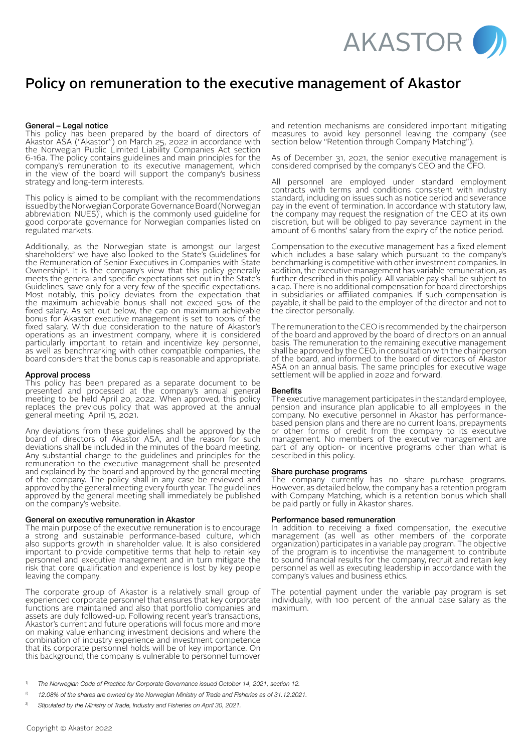

# Policy on remuneration to the executive management of Akastor

# General – Legal notice

This policy has been prepared by the board of directors of Akastor ASA ("Akastor") on March 25, 2022 in accordance with the Norwegian Public Limited Liability Companies Act section 6-16a. The policy contains guidelines and main principles for the company's remuneration to its executive management, which in the view of the board will support the company's business strategy and long-term interests.

This policy is aimed to be compliant with the recommendations issued by the Norwegian Corporate Governance Board (Norwegian abbreviation: NUES)', which is the commonly used guideline for good corporate governance for Norwegian companies listed on regulated markets.

Additionally, as the Norwegian state is amongst our largest shareholders<sup>2</sup> we have also looked to the State's Guidelines for the Remuneration of Senior Executives in Companies with State Ownership3. It is the company's view that this policy generally meets the general and specific expectations set out in the State's Guidelines, save only for a very few of the specific expectations. Most notably, this policy deviates from the expectation that the maximum achievable bonus shall not exceed 50% of the fixed salary. As set out below, the cap on maximum achievable bonus for Akastor executive management is set to 100% of the fixed salary. With due consideration to the nature of Akastor's operations as an investment company, where it is considered particularly important to retain and incentivize key personnel, as well as benchmarking with other compatible companies, the board considers that the bonus cap is reasonable and appropriate.

#### Approval process

This policy has been prepared as a separate document to be presented and processed at the company's annual general meeting to be held April 20, 2022. When approved, this policy replaces the previous policy that was approved at the annual general meeting April 15, 2021.

Any deviations from these guidelines shall be approved by the board of directors of Akastor ASA, and the reason for such deviations shall be included in the minutes of the board meeting. Any substantial change to the guidelines and principles for the remuneration to the executive management shall be presented and explained by the board and approved by the general meeting of the company. The policy shall in any case be reviewed and approved by the general meeting every fourth year. The guidelines approved by the general meeting shall immediately be published on the company's website.

# General on executive remuneration in Akastor

The main purpose of the executive remuneration is to encourage a strong and sustainable performance-based culture, which also supports growth in shareholder value. It is also considered important to provide competitive terms that help to retain key personnel and executive management and in turn mitigate the risk that core qualification and experience is lost by key people leaving the company.

The corporate group of Akastor is a relatively small group of experienced corporate personnel that ensures that key corporate functions are maintained and also that portfolio companies and assets are duly followed-up. Following recent year's transactions, Akastor's current and future operations will focus more and more on making value enhancing investment decisions and where the combination of industry experience and investment competence that its corporate personnel holds will be of key importance. On this background, the company is vulnerable to personnel turnover

and retention mechanisms are considered important mitigating measures to avoid key personnel leaving the company (see section below "Retention through Company Matching").

As of December 31, 2021, the senior executive management is considered comprised by the company's CEO and the CFO.

All personnel are employed under standard employment contracts with terms and conditions consistent with industry standard, including on issues such as notice period and severance pay in the event of termination. In accordance with statutory law, the company may request the resignation of the CEO at its own discretion, but will be obliged to pay severance payment in the amount of 6 months' salary from the expiry of the notice period.

Compensation to the executive management has a fixed element which includes a base salary which pursuant to the company's benchmarking is competitive with other investment companies. In addition, the executive management has variable remuneration, as further described in this policy. All variable pay shall be subject to a cap. There is no additional compensation for board directorships in subsidiaries or affiliated companies. If such compensation is payable, it shall be paid to the employer of the director and not to the director personally.

The remuneration to the CEO is recommended by the chairperson of the board and approved by the board of directors on an annual basis. The remuneration to the remaining executive management shall be approved by the CEO, in consultation with the chairperson of the board, and informed to the board of directors of Akastor ASA on an annual basis. The same principles for executive wage settlement will be applied in 2022 and forward.

#### **Benefits**

The executive management participates in the standard employee, pension and insurance plan applicable to all employees in the company. No executive personnel in Akastor has performancebased pension plans and there are no current loans, prepayments or other forms of credit from the company to its executive management. No members of the executive management are part of any option- or incentive programs other than what is described in this policy.

# Share purchase programs

The company currently has no share purchase programs. However, as detailed below, the company has a retention program with Company Matching, which is a retention bonus which shall be paid partly or fully in Akastor shares.

# Performance based remuneration

In addition to receiving a fixed compensation, the executive management (as well as other members of the corporate organization) participates in a variable pay program. The objective of the program is to incentivise the management to contribute to sound financial results for the company, recruit and retain key personnel as well as executing leadership in accordance with the company's values and business ethics.

The potential payment under the variable pay program is set individually, with 100 percent of the annual base salary as the maximum.

- *2) 12.08% of the shares are owned by the Norwegian Ministry of Trade and Fisheries as of 31.12.2021.*
- *3) Stipulated by the Ministry of Trade, Industry and Fisheries on April 30, 2021.*

*<sup>1)</sup> The Norwegian Code of Practice for Corporate Governance issued October 14, 2021, section 12.*